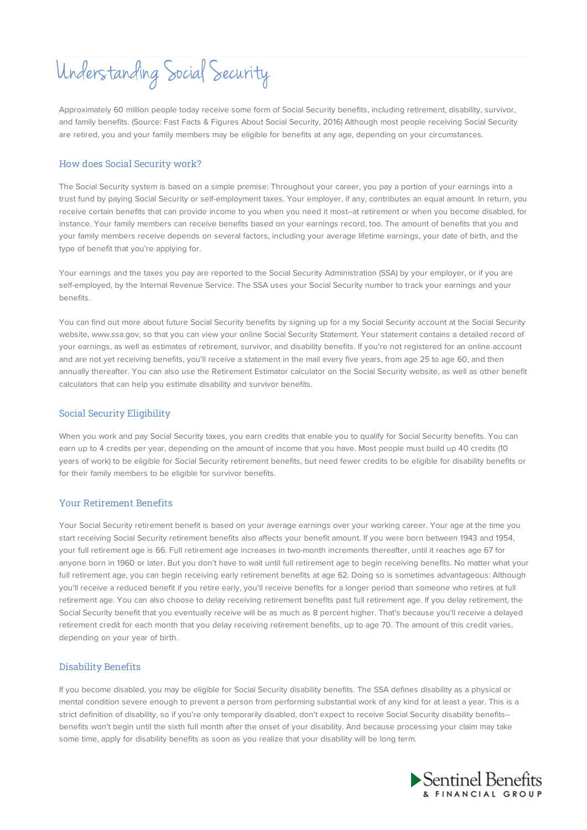# Understanding Social Security

Approximately 60 million people today receive some form of Social Security benefits, including retirement, disability, survivor, and family benefits. (Source: Fast Facts & Figures About Social Security, 2016) Although most people receiving Social Security are retired, you and your family members may be eligible for benefits at any age, depending on your circumstances.

## How does Social Security work?

The Social Security system is based on a simple premise: Throughout your career, you pay a portion of your earnings into a trust fund by paying Social Security or self-employment taxes. Your employer, if any, contributes an equal amount. In return, you receive certain benefits that can provide income to you when you need it most--at retirement or when you become disabled, for instance. Your family members can receive benefits based on your earnings record, too. The amount of benefits that you and your family members receive depends on several factors, including your average lifetime earnings, your date of birth, and the type of benefit that you're applying for.

Your earnings and the taxes you pay are reported to the Social Security Administration (SSA) by your employer, or if you are self-employed, by the Internal Revenue Service. The SSA uses your Social Security number to track your earnings and your benefits.

You can find out more about future Social Security benefits by signing up for a my Social Security account at the Social Security website, www.ssa.gov, so that you can view your online Social Security Statement. Your statement contains a detailed record of your earnings, as well as estimates of retirement, survivor, and disability benefits. If you're not registered for an online account and are not yet receiving benefits, you'll receive a statement in the mail every five years, from age 25 to age 60, and then annually thereafter. You can also use the Retirement Estimator calculator on the Social Security website, as well as other benefit calculators that can help you estimate disability and survivor benefits.

### Social Security Eligibility

When you work and pay Social Security taxes, you earn credits that enable you to qualify for Social Security benefits. You can earn up to 4 credits per year, depending on the amount of income that you have. Most people must build up 40 credits (10 years of work) to be eligible for Social Security retirement benefits, but need fewer credits to be eligible for disability benefits or for their family members to be eligible for survivor benefits.

### Your Retirement Benefits

Your Social Security retirement benefit is based on your average earnings over your working career. Your age at the time you start receiving Social Security retirement benefits also affects your benefit amount. If you were born between 1943 and 1954, your full retirement age is 66. Full retirement age increases in two-month increments thereafter, until it reaches age 67 for anyone born in 1960 or later. But you don't have to wait until full retirement age to begin receiving benefits. No matter what your full retirement age, you can begin receiving early retirement benefits at age 62. Doing so is sometimes advantageous: Although you'll receive a reduced benefit if you retire early, you'll receive benefits for a longer period than someone who retires at full retirement age. You can also choose to delay receiving retirement benefits past full retirement age. If you delay retirement, the Social Security benefit that you eventually receive will be as much as 8 percent higher. That's because you'll receive a delayed retirement credit for each month that you delay receiving retirement benefits, up to age 70. The amount of this credit varies, depending on your year of birth.

## Disability Benefits

If you become disabled, you may be eligible for Social Security disability benefits. The SSA defines disability as a physical or mental condition severe enough to prevent a person from performing substantial work of any kind for at least a year. This is a strict definition of disability, so if you're only temporarily disabled, don't expect to receive Social Security disability benefits- benefits won't begin until the sixth full month after the onset of your disability. And because processing your claim may take some time, apply for disability benefits as soon as you realize that your disability will be long term.